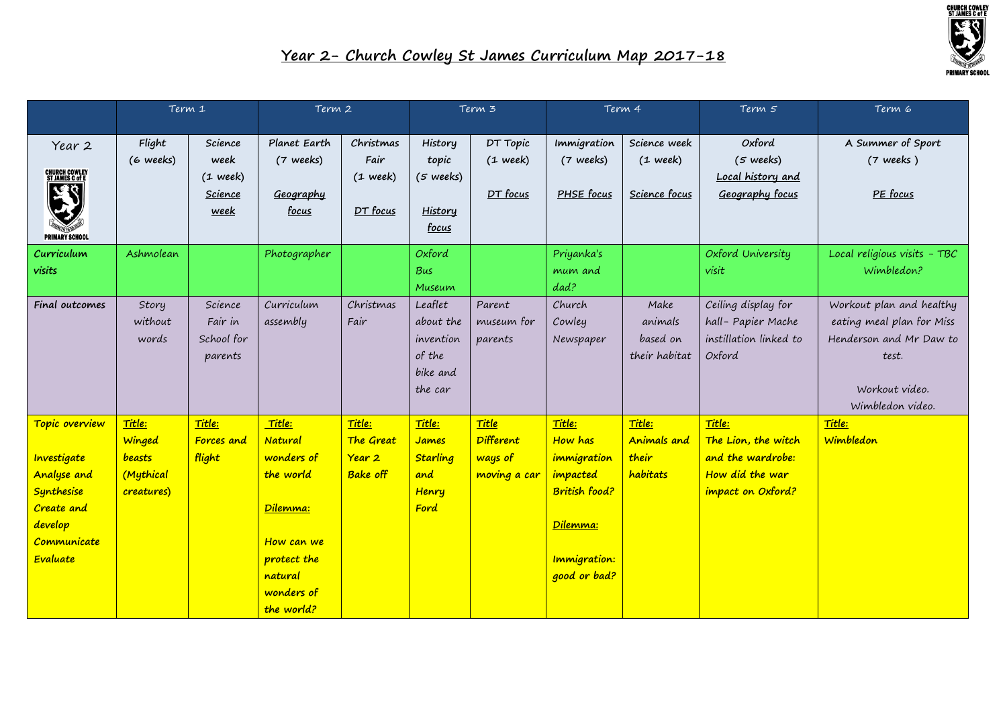

|                                                                                                                              | Term 1                                                |                                                  | Term 2                                                                                                                       |                                                             | Term 3                                                             |                                                      | Term 4                                                                                                           |                                              | Term 5                                                                                     | Term 6                                                                                                                          |
|------------------------------------------------------------------------------------------------------------------------------|-------------------------------------------------------|--------------------------------------------------|------------------------------------------------------------------------------------------------------------------------------|-------------------------------------------------------------|--------------------------------------------------------------------|------------------------------------------------------|------------------------------------------------------------------------------------------------------------------|----------------------------------------------|--------------------------------------------------------------------------------------------|---------------------------------------------------------------------------------------------------------------------------------|
| Year 2<br><b>CHURCH COWLEY<br/>ST JAMES C of E</b><br>ぼく<br><b>PRIMARY SCHOOL</b>                                            | Flight<br>(6 weeks)                                   | Science<br>week<br>$(1$ week)<br>Science<br>week | Planet Earth<br>(7 weeks)<br>Geography<br>focus                                                                              | Christmas<br>Fair<br>$(1$ week)<br>DT focus                 | History<br>topic<br>(5 weeks)<br><b>History</b><br>focus           | DT Topic<br>$(1$ week)<br>DT focus                   | Immigration<br>(7 weeks)<br>PHSE focus                                                                           | Science week<br>$(1$ week)<br>Science focus  | Oxford<br>$(5$ weeks)<br>Local history and<br>Geography focus                              | A Summer of Sport<br>$(7$ weeks)<br>PE focus                                                                                    |
| Curriculum<br>visits                                                                                                         | Ashmolean                                             |                                                  | Photographer                                                                                                                 |                                                             | Oxford<br>Bus<br>Museum                                            |                                                      | Priyanka's<br>mum and<br>dad?                                                                                    |                                              | Oxford University<br>visit                                                                 | Local religious visits - TBC<br>Wimbledon?                                                                                      |
| Final outcomes                                                                                                               | Story<br>without<br>words                             | Science<br>Fair in<br>School for<br>parents      | Curriculum<br>assembly                                                                                                       | Christmas<br>Fair                                           | Leaflet<br>about the<br>invention<br>of the<br>bike and<br>the car | Parent<br>museum for<br>parents                      | Church<br>Cowley<br>Newspaper                                                                                    | Make<br>animals<br>based on<br>their habitat | Ceiling display for<br>hall-Papier Mache<br>instillation linked to<br>Oxford               | Workout plan and healthy<br>eating meal plan for Miss<br>Henderson and Mr Daw to<br>test.<br>Workout video.<br>Wimbledon video. |
| Topic overview<br>Investigate<br><b>Analyse and</b><br>Synthesise<br><b>Create</b> and<br>develop<br>Communicate<br>Evaluate | Title:<br>Winged<br>beasts<br>(Mythical<br>creatures) | Title:<br>Forces and<br>flight                   | Title:<br>Natural<br>wonders of<br>the world<br>Dilemma:<br>How can we<br>protect the<br>natural<br>wonders of<br>the world? | Title:<br>The Great<br>Year <sub>2</sub><br><b>Bake off</b> | Title:<br>James<br><b>Starling</b><br>and<br>Henry<br>Ford         | Title<br><b>Different</b><br>ways of<br>moving a car | Title:<br>How has<br>immigration<br>impacted<br>British food?<br>Dilemma:<br><b>Immigration:</b><br>good or bad? | Title:<br>Animals and<br>their<br>habitats   | Title:<br>The Lion, the witch<br>and the wardrobe:<br>How did the war<br>impact on Oxford? | Title:<br>Wimbledon                                                                                                             |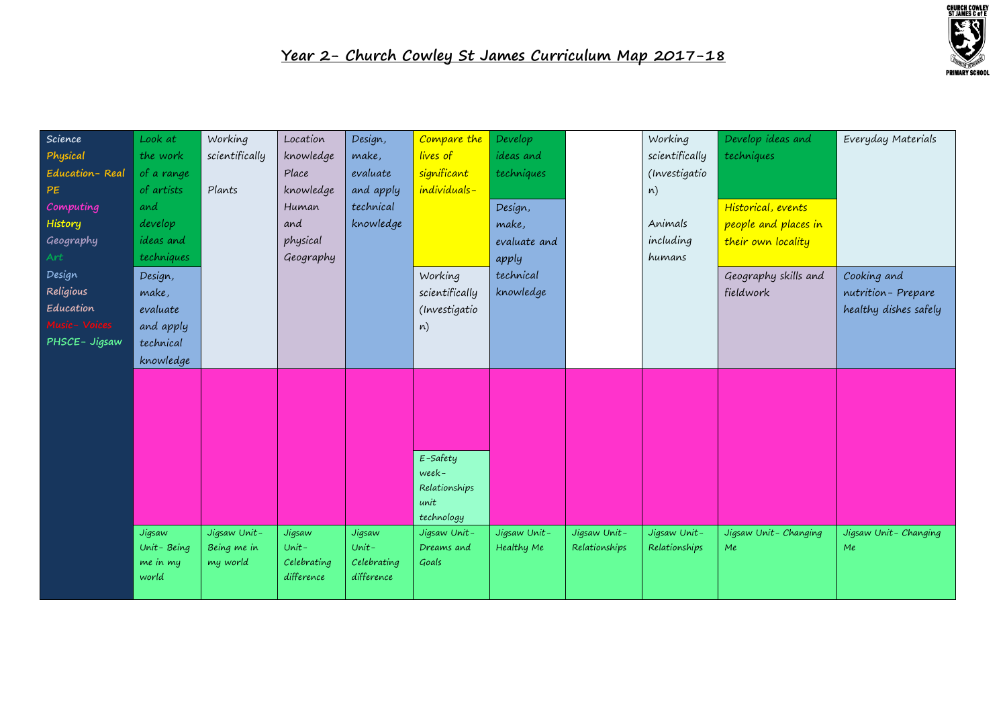

| Science        | Look at          | Working        | Location    | Design,     | Compare the                | Develop      |               | Working        | Develop ideas and    | Everyday Materials    |
|----------------|------------------|----------------|-------------|-------------|----------------------------|--------------|---------------|----------------|----------------------|-----------------------|
| Physical       | the work         | scientifically | knowledge   | make,       | lives of                   | ideas and    |               | scientifically | techniques           |                       |
| Education-Real | of a range       |                | Place       | evaluate    | significant                | techniques   |               | (Investigatio  |                      |                       |
| PE             | of artists       | Plants         | knowledge   | and apply   | individuals-               |              |               | n)             |                      |                       |
| Computing      | and              |                | Human       | technical   |                            | Design,      |               |                | Historical, events   |                       |
| History        | develop          |                | and         | knowledge   |                            | make,        |               | Animals        | people and places in |                       |
| Geography      | <i>ideas</i> and |                | physical    |             |                            | evaluate and |               | including      | their own locality   |                       |
| Art            | techniques       |                | Geography   |             |                            | apply        |               | humans         |                      |                       |
| Design         | Design,          |                |             |             | Working                    | technical    |               |                | Geography skills and | Cooking and           |
| Religious      | make,            |                |             |             | scientifically             | knowledge    |               |                | fieldwork            | nutrition-Prepare     |
| Education      | evaluate         |                |             |             | (Investigatio              |              |               |                |                      | healthy dishes safely |
| Music- Voices  | and apply        |                |             |             | n)                         |              |               |                |                      |                       |
| PHSCE- Jigsaw  | technical        |                |             |             |                            |              |               |                |                      |                       |
|                | knowledge        |                |             |             |                            |              |               |                |                      |                       |
|                |                  |                |             |             |                            |              |               |                |                      |                       |
|                |                  |                |             |             |                            |              |               |                |                      |                       |
|                |                  |                |             |             |                            |              |               |                |                      |                       |
|                |                  |                |             |             |                            |              |               |                |                      |                       |
|                |                  |                |             |             |                            |              |               |                |                      |                       |
|                |                  |                |             |             | E-Safety                   |              |               |                |                      |                       |
|                |                  |                |             |             | week-                      |              |               |                |                      |                       |
|                |                  |                |             |             | Relationships              |              |               |                |                      |                       |
|                |                  |                |             |             | unit                       |              |               |                |                      |                       |
|                | Jigsaw           | Jigsaw Unit-   | Jigsaw      | Jigsaw      | technology<br>Jigsaw Unit- | Jigsaw Unit- | Jigsaw Unit-  | Jigsaw Unit-   | Jigsaw Unit-Changing | Jigsaw Unit-Changing  |
|                | Unit-Being       | Being me in    | $Unit -$    | $Unit -$    | Dreams and                 | Healthy Me   | Relationships | Relationships  | Me                   | Me                    |
|                | me in my         | my world       | Celebrating | Celebrating | Goals                      |              |               |                |                      |                       |
|                | world            |                | difference  | difference  |                            |              |               |                |                      |                       |
|                |                  |                |             |             |                            |              |               |                |                      |                       |